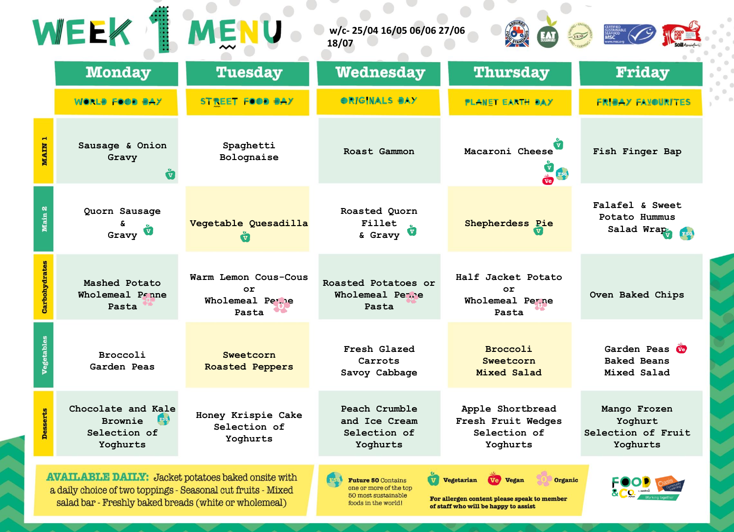|                   | WEEK                                                                                                                                                                               | MEN                                                           | w/c-25/04 16/05 06/06 27/06<br>18/07                                                              |                                                                                                                                                 |                                                              |
|-------------------|------------------------------------------------------------------------------------------------------------------------------------------------------------------------------------|---------------------------------------------------------------|---------------------------------------------------------------------------------------------------|-------------------------------------------------------------------------------------------------------------------------------------------------|--------------------------------------------------------------|
|                   | <b>Monday</b>                                                                                                                                                                      | <b>Tuesday</b>                                                | Wednesday                                                                                         | <b>Thursday</b>                                                                                                                                 | <b>Friday</b>                                                |
|                   | WORLS FOOD SAY                                                                                                                                                                     | <b>STREET FOOD BAY</b>                                        | <b>ORIGINALS SAY</b>                                                                              | <b>PLANET EARTH DAY</b>                                                                                                                         | <b>FRIBAY FAXOURITES</b>                                     |
| <b>MAIN</b>       | Sausage & Onion<br>Gravy                                                                                                                                                           | Spaghetti<br>Bolognaise                                       | Roast Gammon                                                                                      | Macaroni Cheese<br>Ve F50                                                                                                                       | Fish Finger Bap                                              |
| Main 2            | Quorn Sausage<br>Gravy <b>W</b>                                                                                                                                                    | Vegetable Quesadilla                                          | Roasted Quorn<br>Fillet<br>& Gravy                                                                | Shepherdess Pie                                                                                                                                 | Falafel & Sweet<br>Potato Hummus<br>Salad Wrap<br><b>F50</b> |
| Carbohydrates     | Mashed Potato<br>Wholemeal Panne<br>Pasta                                                                                                                                          | Warm Lemon Cous-Cous<br>$\circ$ r<br>Wholemeal Perne<br>Pasta | Roasted Potatoes or<br>Wholemeal Peare<br>Pasta                                                   | Half Jacket Potato<br>$\circ$ r<br>Wholemeal Perne<br>Pasta                                                                                     | Oven Baked Chips                                             |
| <b>Vegetables</b> | Broccoli<br>Garden Peas                                                                                                                                                            | Sweetcorn<br><b>Roasted Peppers</b>                           | Fresh Glazed<br>Carrots<br>Savoy Cabbage                                                          | Broccoli<br>Sweetcorn<br>Mixed Salad                                                                                                            | Garden Peas W<br><b>Baked Beans</b><br>Mixed Salad           |
| <b>Desserts</b>   | Chocolate and Kale<br><b>Brownie</b><br>F50<br>Selection of<br>Yoghurts                                                                                                            | Honey Krispie Cake<br>Selection of<br>Yoghurts                | Peach Crumble<br>and Ice Cream<br>Selection of<br>Yoghurts                                        | Apple Shortbread<br>Fresh Fruit Wedges<br>Selection of<br>Yoghurts                                                                              | Mango Frozen<br>Yoghurt<br>Selection of Fruit<br>Yoghurts    |
|                   | <b>AVAILABLE DAILY:</b> Jacket potatoes baked onsite with<br>a daily choice of two toppings - Seasonal cut fruits - Mixed<br>salad bar - Freshly baked breads (white or wholemeal) |                                                               | <b>Future 50 Contains</b><br>one or more of the top<br>50 most sustainable<br>foods in the world! | <b>V</b> Vegetarian<br><b>Ve Vegan</b><br><b>Organic</b><br>For allergen content please speak to member<br>of staff who will be happy to assist |                                                              |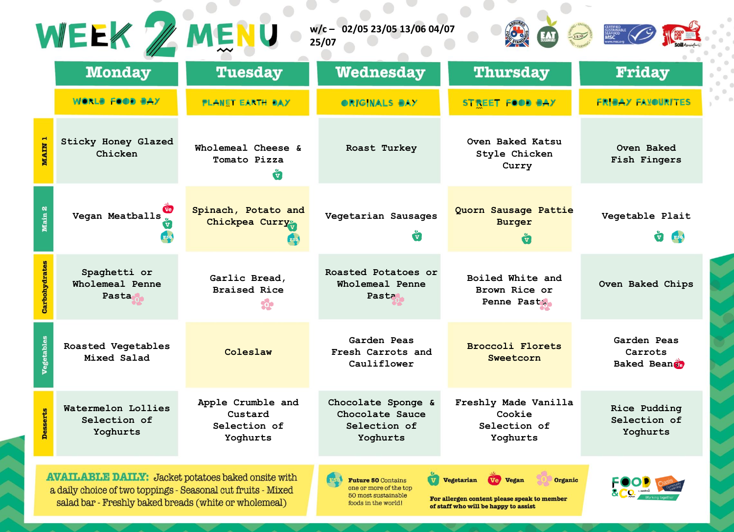|                   | WEEK / MENU                                                                                                                                                                        |                                                               | w/c-02/05 23/05 13/06 04/07<br>25/07                                                              |                                                                                                                                               |                                          |  |
|-------------------|------------------------------------------------------------------------------------------------------------------------------------------------------------------------------------|---------------------------------------------------------------|---------------------------------------------------------------------------------------------------|-----------------------------------------------------------------------------------------------------------------------------------------------|------------------------------------------|--|
|                   | <b>Monday</b>                                                                                                                                                                      | <b>Tuesday</b>                                                | <b>Wednesday</b>                                                                                  | <b>Thursday</b>                                                                                                                               | <b>Friday</b>                            |  |
|                   | WORLS FOOD SAY                                                                                                                                                                     | <b>PLANET EARTH BAY</b>                                       | OR/GINALS SAY                                                                                     | <b>STREET FOOD BAY</b>                                                                                                                        | <b>FRIBAY FAXOURITES</b>                 |  |
| <b>MAIN 1</b>     | <b>Sticky Honey Glazed</b><br>Chicken                                                                                                                                              | Wholemeal Cheese &<br>Tomato Pizza<br>$\overline{\mathbf{v}}$ | Roast Turkey                                                                                      | Oven Baked Katsu<br>Style Chicken<br>Curry                                                                                                    | Oven Baked<br>Fish Fingers               |  |
| Main 2            | Vegan Meatballs                                                                                                                                                                    | Spinach, Potato and<br>Chickpea Curry                         | Vegetarian Sausages                                                                               | Quorn Sausage Pattie<br><b>Burger</b>                                                                                                         | Vegetable Plait                          |  |
| Carbohydrates     | Spaghetti or<br>Wholemeal Penne<br>Pasta <sub>s</sub>                                                                                                                              | Garlic Bread,<br><b>Braised Rice</b>                          | Roasted Potatoes or<br>Wholemeal Penne<br>Pasta                                                   | Boiled White and<br>Brown Rice or<br>Penne Past                                                                                               | Oven Baked Chips                         |  |
| <b>Vegetables</b> | Roasted Vegetables<br>Mixed Salad                                                                                                                                                  | Coleslaw                                                      | Garden Peas<br>Fresh Carrots and<br>Cauliflower                                                   | <b>Broccoli Florets</b><br>Sweetcorn                                                                                                          | Garden Peas<br>Carrots<br>Baked Beante   |  |
| <b>Desserts</b>   | Watermelon Lollies<br>Selection of<br>Yoghurts                                                                                                                                     | Apple Crumble and<br>Custard<br>Selection of<br>Yoghurts      | Chocolate Sponge &<br>Chocolate Sauce<br>Selection of<br>Yoghurts                                 | Freshly Made Vanilla<br>Cookie<br>Selection of<br>Yoghurts                                                                                    | Rice Pudding<br>Selection of<br>Yoghurts |  |
|                   | <b>AVAILABLE DAILY:</b> Jacket potatoes baked onsite with<br>a daily choice of two toppings - Seasonal cut fruits - Mixed<br>salad bar - Freshly baked breads (white or wholemeal) |                                                               | <b>Future 50 Contains</b><br>one or more of the top<br>50 most sustainable<br>foods in the world! | <b>Vegetarian</b><br><b>Ve Vegan</b><br><b>Organic</b><br>For allergen content please speak to member<br>of staff who will be happy to assist |                                          |  |